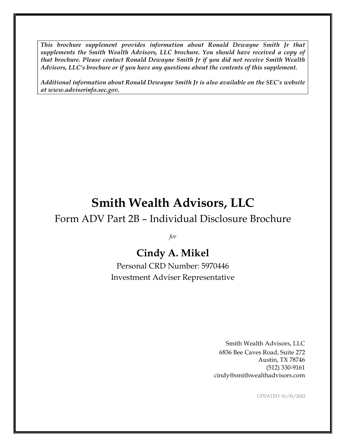This brochure supplement provides information about Ronald Dewayne Smith Jr that supplements the Smith Wealth Advisors, LLC brochure. You should have received a copy of that brochure. Please contact Ronald Dewayne Smith Jr if you did not receive Smith Wealth Advisors, LLC's brochure or if you have any questions about the contents of this supplement.

Additional information about Ronald Dewayne Smith Jr is also available on the SEC's website at www.adviserinfo.sec.gov.

# Smith Wealth Advisors, LLC

## Form ADV Part 2B - Individual Disclosure Brochure

for

## Cindy A. Mikel

Personal CRD Number: 5970446 Investment Adviser Representative

Smith Wealth Advisors, LLC 6836 Bee Caves Road, Suite 272 Austin, TX 78746 Advisors, LLC<br>
load, Suite 272<br>
stin, TX 78746<br>
(512) 330-9161<br>
nadvisors.com<br>
ATED: 01/01/2022 cindy@smithwealthadvisors.com

UPDATED: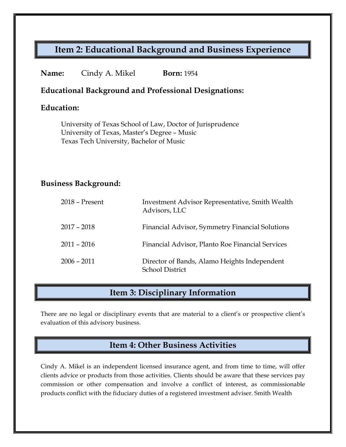## Item 2: Educational Background and Business Experience

#### Name: Cindy A. Mikel Born: 1954

#### Educational Background and Professional Designations:

#### Education:

University of Texas School of Law, Doctor of Jurisprudence University of Texas, Master's Degree - Music Texas Tech University, Bachelor of Music

#### Business Background:

| $2018$ – Present | <b>Investment Advisor Representative, Smith Wealth</b><br>Advisors, LLC |
|------------------|-------------------------------------------------------------------------|
| $2017 - 2018$    | Financial Advisor, Symmetry Financial Solutions                         |
| $2011 - 2016$    | Financial Advisor, Planto Roe Financial Services                        |
| $2006 - 2011$    | Director of Bands, Alamo Heights Independent<br><b>School District</b>  |

## Item 3: Disciplinary Information

There are no legal or disciplinary events that are material to a client's or prospective client's evaluation of this advisory business.

### Item 4: Other Business Activities

Cindy A. Mikel is an independent licensed insurance agent, and from time to time, will offer clients advice or products from those activities. Clients should be aware that these services pay commission or other compensation and involve a conflict of interest, as commissionable products conflict with the fiduciary duties of a registered investment adviser. Smith Wealth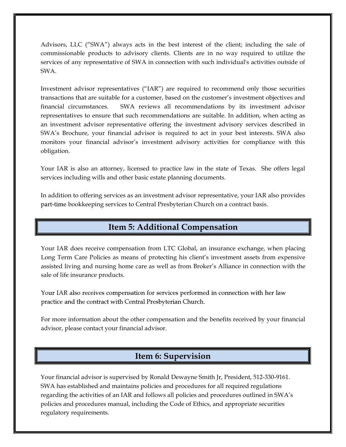Advisors, LLC ("SWA") always acts in the best interest of the client; including the sale of commissionable products to advisory clients. Clients are in no way required to utilize the services of any representative of SWA in connection with such individual's activities outside of SWA.

Investment advisor representatives ("IAR") are required to recommend only those securities transactions that are suitable for a customer, based on the customer's investment objectives and financial circumstances. SWA reviews all recommendations by its investment advisor representatives to ensure that such recommendations are suitable. In addition, when acting as an investment advisor representative offering the investment advisory services described in SWA's Brochure, your financial advisor is required to act in your best interests. SWA also monitors your financial advisor's investment advisory activities for compliance with this obligation.

Your IAR is also an attorney, licensed to practice law in the state of Texas. She offers legal services including wills and other basic estate planning documents.

In addition to offering services as an investment advisor representative, your IAR also provides part-time bookkeeping services to Central Presbyterian Church on a contract basis.

### Item 5: Additional Compensation

Your IAR does receive compensation from LTC Global, an insurance exchange, when placing Long Term Care Policies as means of protecting his client's investment assets from expensive assisted living and nursing home care as well as from Broker's Alliance in connection with the sale of life insurance products.

Your IAR also receives compensation for services performed in connection with her law practice and the contract with Central Presbyterian Church.

For more information about the other compensation and the benefits received by your financial advisor, please contact your financial advisor.

## Item 6: Supervision

Your financial advisor is supervised by Ronald Dewayne Smith Jr, President, 512-330-9161. SWA has established and maintains policies and procedures for all required regulations regarding the activities of an IAR and follows all policies and procedures outlined in SWA's policies and procedures manual, including the Code of Ethics, and appropriate securities regulatory requirements.